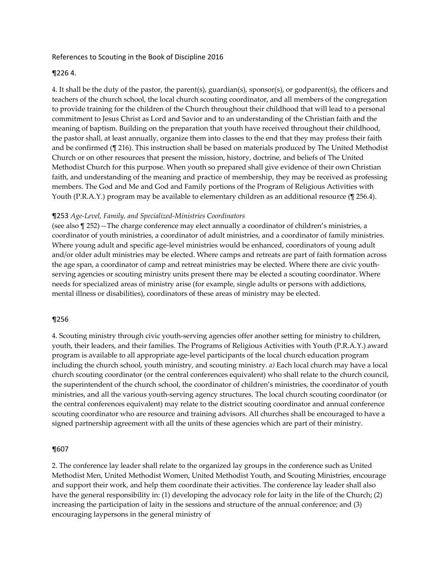### References to Scouting in the Book of Discipline 2016

### ¶226 4.

4. It shall be the duty of the pastor, the parent(s), guardian(s), sponsor(s), or godparent(s), the officers and teachers of the church school, the local church scouting coordinator, and all members of the congregation to provide training for the children of the Church throughout their childhood that will lead to a personal commitment to Jesus Christ as Lord and Savior and to an understanding of the Christian faith and the meaning of baptism. Building on the preparation that youth have received throughout their childhood, the pastor shall, at least annually, organize them into classes to the end that they may profess their faith and be confirmed (¶ 216). This instruction shall be based on materials produced by The United Methodist Church or on other resources that present the mission, history, doctrine, and beliefs of The United Methodist Church for this purpose. When youth so prepared shall give evidence of their own Christian faith, and understanding of the meaning and practice of membership, they may be received as professing members. The God and Me and God and Family portions of the Program of Religious Activities with Youth (P.R.A.Y.) program may be available to elementary children as an additional resource (¶ 256.4).

#### ¶253 *Age-Level, Family, and Specialized-Ministries Coordinators*

(see also ¶ 252)*—*The charge conference may elect annually a coordinator of children's ministries, a coordinator of youth ministries, a coordinator of adult ministries, and a coordinator of family ministries. Where young adult and specific age-level ministries would be enhanced, coordinators of young adult and/or older adult ministries may be elected. Where camps and retreats are part of faith formation across the age span, a coordinator of camp and retreat ministries may be elected. Where there are civic youthserving agencies or scouting ministry units present there may be elected a scouting coordinator. Where needs for specialized areas of ministry arise (for example, single adults or persons with addictions, mental illness or disabilities), coordinators of these areas of ministry may be elected.

#### ¶256

4. Scouting ministry through civic youth-serving agencies offer another setting for ministry to children, youth, their leaders, and their families. The Programs of Religious Activities with Youth (P.R.A.Y.) award program is available to all appropriate age-level participants of the local church education program including the church school, youth ministry, and scouting ministry. *a)* Each local church may have a local church scouting coordinator (or the central conferences equivalent) who shall relate to the church council, the superintendent of the church school, the coordinator of children's ministries, the coordinator of youth ministries, and all the various youth-serving agency structures. The local church scouting coordinator (or the central conferences equivalent) may relate to the district scouting coordinator and annual conference scouting coordinator who are resource and training advisors. All churches shall be encouraged to have a signed partnership agreement with all the units of these agencies which are part of their ministry.

#### ¶607

2. The conference lay leader shall relate to the organized lay groups in the conference such as United Methodist Men, United Methodist Women, United Methodist Youth, and Scouting Ministries, encourage and support their work, and help them coordinate their activities. The conference lay leader shall also have the general responsibility in: (1) developing the advocacy role for laity in the life of the Church; (2) increasing the participation of laity in the sessions and structure of the annual conference; and (3) encouraging laypersons in the general ministry of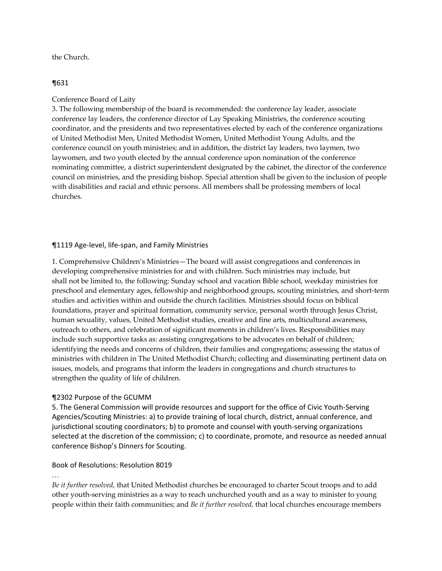## the Church.

## ¶631

# Conference Board of Laity

3. The following membership of the board is recommended: the conference lay leader, associate conference lay leaders, the conference director of Lay Speaking Ministries, the conference scouting coordinator, and the presidents and two representatives elected by each of the conference organizations of United Methodist Men, United Methodist Women, United Methodist Young Adults, and the conference council on youth ministries; and in addition, the district lay leaders, two laymen, two laywomen, and two youth elected by the annual conference upon nomination of the conference nominating committee, a district superintendent designated by the cabinet, the director of the conference council on ministries, and the presiding bishop. Special attention shall be given to the inclusion of people with disabilities and racial and ethnic persons. All members shall be professing members of local churches.

## ¶1119 Age-level, life-span, and Family Ministries

1. Comprehensive Children's Ministries—The board will assist congregations and conferences in developing comprehensive ministries for and with children. Such ministries may include, but shall not be limited to, the following: Sunday school and vacation Bible school, weekday ministries for preschool and elementary ages, fellowship and neighborhood groups, scouting ministries, and short-term studies and activities within and outside the church facilities. Ministries should focus on biblical foundations, prayer and spiritual formation, community service, personal worth through Jesus Christ, human sexuality, values, United Methodist studies, creative and fine arts, multicultural awareness, outreach to others, and celebration of significant moments in children's lives. Responsibilities may include such supportive tasks as: assisting congregations to be advocates on behalf of children; identifying the needs and concerns of children, their families and congregations; assessing the status of ministries with children in The United Methodist Church; collecting and disseminating pertinent data on issues, models, and programs that inform the leaders in congregations and church structures to strengthen the quality of life of children.

### ¶2302 Purpose of the GCUMM

5. The General Commission will provide resources and support for the office of Civic Youth-Serving Agencies/Scouting Ministries: a) to provide training of local church, district, annual conference, and jurisdictional scouting coordinators; b) to promote and counsel with youth-serving organizations selected at the discretion of the commission; c) to coordinate, promote, and resource as needed annual conference Bishop's Dinners for Scouting.

### Book of Resolutions: Resolution 8019

# *…*

*Be it further resolved,* that United Methodist churches be encouraged to charter Scout troops and to add other youth-serving ministries as a way to reach unchurched youth and as a way to minister to young people within their faith communities; and *Be it further resolved,* that local churches encourage members